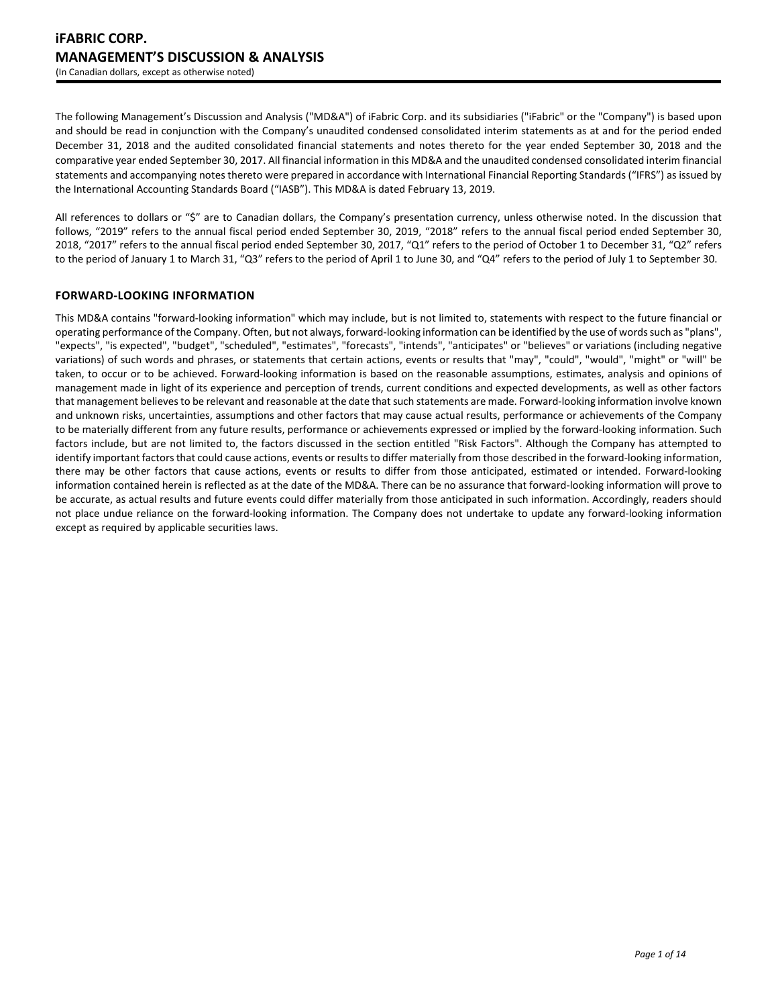The following Management's Discussion and Analysis ("MD&A") of iFabric Corp. and its subsidiaries ("iFabric" or the "Company") is based upon and should be read in conjunction with the Company's unaudited condensed consolidated interim statements as at and for the period ended December 31, 2018 and the audited consolidated financial statements and notes thereto for the year ended September 30, 2018 and the comparative year ended September 30, 2017. All financial information in this MD&A and the unaudited condensed consolidated interim financial statements and accompanying notes thereto were prepared in accordance with International Financial Reporting Standards ("IFRS") as issued by the International Accounting Standards Board ("IASB"). This MD&A is dated February 13, 2019.

All references to dollars or "\$" are to Canadian dollars, the Company's presentation currency, unless otherwise noted. In the discussion that follows, "2019" refers to the annual fiscal period ended September 30, 2019, "2018" refers to the annual fiscal period ended September 30, 2018, "2017" refers to the annual fiscal period ended September 30, 2017, "Q1" refers to the period of October 1 to December 31, "Q2" refers to the period of January 1 to March 31, "Q3" refers to the period of April 1 to June 30, and "Q4" refers to the period of July 1 to September 30.

# **FORWARD-LOOKING INFORMATION**

This MD&A contains "forward-looking information" which may include, but is not limited to, statements with respect to the future financial or operating performance of the Company. Often, but not always, forward-looking information can be identified by the use of words such as "plans", "expects", "is expected", "budget", "scheduled", "estimates", "forecasts", "intends", "anticipates" or "believes" or variations (including negative variations) of such words and phrases, or statements that certain actions, events or results that "may", "could", "would", "might" or "will" be taken, to occur or to be achieved. Forward-looking information is based on the reasonable assumptions, estimates, analysis and opinions of management made in light of its experience and perception of trends, current conditions and expected developments, as well as other factors that management believes to be relevant and reasonable at the date that such statements are made. Forward-looking information involve known and unknown risks, uncertainties, assumptions and other factors that may cause actual results, performance or achievements of the Company to be materially different from any future results, performance or achievements expressed or implied by the forward-looking information. Such factors include, but are not limited to, the factors discussed in the section entitled "Risk Factors". Although the Company has attempted to identify important factors that could cause actions, events or results to differ materially from those described in the forward-looking information, there may be other factors that cause actions, events or results to differ from those anticipated, estimated or intended. Forward-looking information contained herein is reflected as at the date of the MD&A. There can be no assurance that forward-looking information will prove to be accurate, as actual results and future events could differ materially from those anticipated in such information. Accordingly, readers should not place undue reliance on the forward-looking information. The Company does not undertake to update any forward-looking information except as required by applicable securities laws.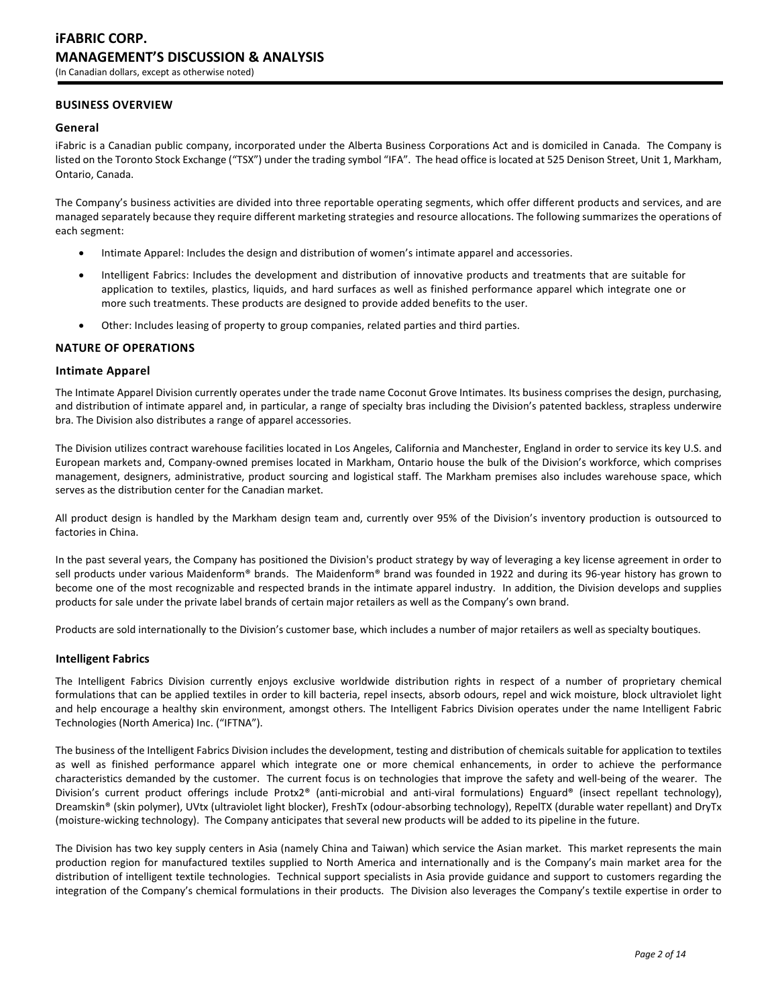# **BUSINESS OVERVIEW**

### **General**

iFabric is a Canadian public company, incorporated under the Alberta Business Corporations Act and is domiciled in Canada. The Company is listed on the Toronto Stock Exchange ("TSX") under the trading symbol "IFA". The head office is located at 525 Denison Street, Unit 1, Markham, Ontario, Canada.

The Company's business activities are divided into three reportable operating segments, which offer different products and services, and are managed separately because they require different marketing strategies and resource allocations. The following summarizes the operations of each segment:

- Intimate Apparel: Includes the design and distribution of women's intimate apparel and accessories.
- Intelligent Fabrics: Includes the development and distribution of innovative products and treatments that are suitable for application to textiles, plastics, liquids, and hard surfaces as well as finished performance apparel which integrate one or more such treatments. These products are designed to provide added benefits to the user.
- Other: Includes leasing of property to group companies, related parties and third parties.

# **NATURE OF OPERATIONS**

### **Intimate Apparel**

The Intimate Apparel Division currently operates under the trade name Coconut Grove Intimates. Its business comprises the design, purchasing, and distribution of intimate apparel and, in particular, a range of specialty bras including the Division's patented backless, strapless underwire bra. The Division also distributes a range of apparel accessories.

The Division utilizes contract warehouse facilities located in Los Angeles, California and Manchester, England in order to service its key U.S. and European markets and, Company-owned premises located in Markham, Ontario house the bulk of the Division's workforce, which comprises management, designers, administrative, product sourcing and logistical staff. The Markham premises also includes warehouse space, which serves as the distribution center for the Canadian market.

All product design is handled by the Markham design team and, currently over 95% of the Division's inventory production is outsourced to factories in China.

In the past several years, the Company has positioned the Division's product strategy by way of leveraging a key license agreement in order to sell products under various Maidenform® brands. The Maidenform® brand was founded in 1922 and during its 96-year history has grown to become one of the most recognizable and respected brands in the intimate apparel industry. In addition, the Division develops and supplies products for sale under the private label brands of certain major retailers as well as the Company's own brand.

Products are sold internationally to the Division's customer base, which includes a number of major retailers as well as specialty boutiques.

### **Intelligent Fabrics**

The Intelligent Fabrics Division currently enjoys exclusive worldwide distribution rights in respect of a number of proprietary chemical formulations that can be applied textiles in order to kill bacteria, repel insects, absorb odours, repel and wick moisture, block ultraviolet light and help encourage a healthy skin environment, amongst others. The Intelligent Fabrics Division operates under the name Intelligent Fabric Technologies (North America) Inc. ("IFTNA").

The business of the Intelligent Fabrics Division includes the development, testing and distribution of chemicals suitable for application to textiles as well as finished performance apparel which integrate one or more chemical enhancements, in order to achieve the performance characteristics demanded by the customer. The current focus is on technologies that improve the safety and well-being of the wearer. The Division's current product offerings include Protx2® (anti-microbial and anti-viral formulations) Enguard® (insect repellant technology), Dreamskin® (skin polymer), UVtx (ultraviolet light blocker), FreshTx (odour-absorbing technology), RepelTX (durable water repellant) and DryTx (moisture-wicking technology). The Company anticipates that several new products will be added to its pipeline in the future.

The Division has two key supply centers in Asia (namely China and Taiwan) which service the Asian market. This market represents the main production region for manufactured textiles supplied to North America and internationally and is the Company's main market area for the distribution of intelligent textile technologies. Technical support specialists in Asia provide guidance and support to customers regarding the integration of the Company's chemical formulations in their products. The Division also leverages the Company's textile expertise in order to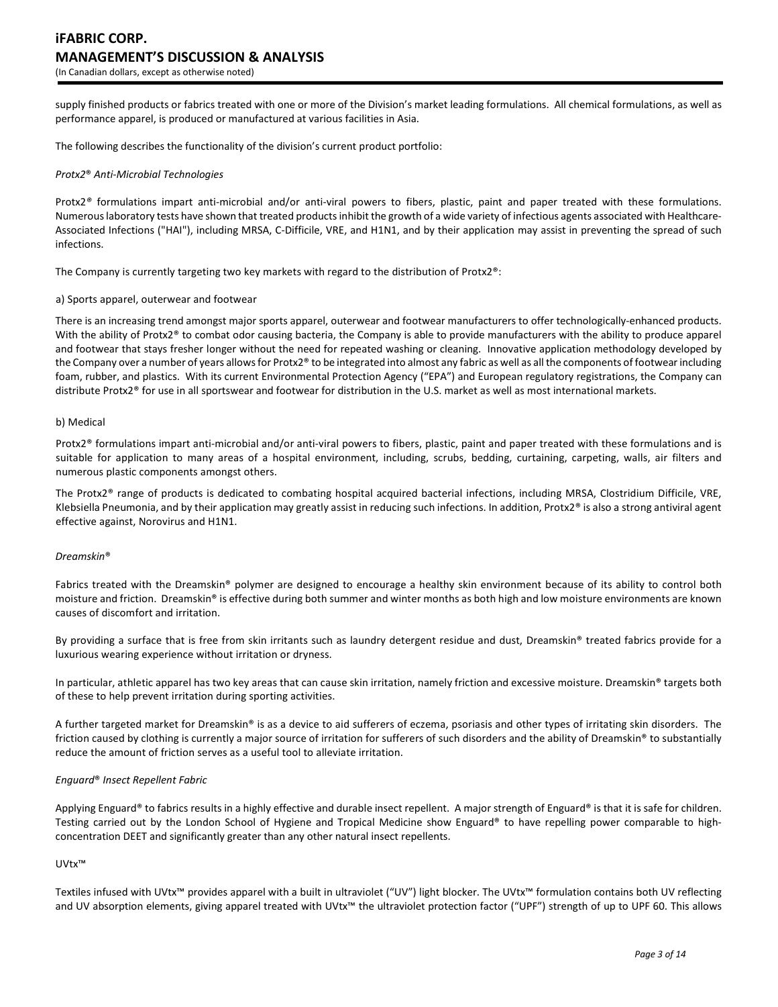supply finished products or fabrics treated with one or more of the Division's market leading formulations. All chemical formulations, as well as performance apparel, is produced or manufactured at various facilities in Asia.

The following describes the functionality of the division's current product portfolio:

#### *Protx2*® *Anti-Microbial Technologies*

Protx2*®* formulations impart anti-microbial and/or anti-viral powers to fibers, plastic, paint and paper treated with these formulations. Numerous laboratory tests have shown that treated products inhibit the growth of a wide variety of infectious agents associated with Healthcare-Associated Infections ("HAI"), including MRSA, C-Difficile, VRE, and H1N1, and by their application may assist in preventing the spread of such infections.

The Company is currently targeting two key markets with regard to the distribution of Protx2®:

#### a) Sports apparel, outerwear and footwear

There is an increasing trend amongst major sports apparel, outerwear and footwear manufacturers to offer technologically-enhanced products. With the ability of Protx2® to combat odor causing bacteria, the Company is able to provide manufacturers with the ability to produce apparel and footwear that stays fresher longer without the need for repeated washing or cleaning. Innovative application methodology developed by the Company over a number of years allows for Protx2® to be integrated into almost any fabric as well as all the components of footwear including foam, rubber, and plastics. With its current Environmental Protection Agency ("EPA") and European regulatory registrations, the Company can distribute Protx2® for use in all sportswear and footwear for distribution in the U.S. market as well as most international markets.

#### b) Medical

Protx2® formulations impart anti-microbial and/or anti-viral powers to fibers, plastic, paint and paper treated with these formulations and is suitable for application to many areas of a hospital environment, including, scrubs, bedding, curtaining, carpeting, walls, air filters and numerous plastic components amongst others.

The Protx2® range of products is dedicated to combating hospital acquired bacterial infections, including MRSA, Clostridium Difficile, VRE, Klebsiella Pneumonia, and by their application may greatly assist in reducing such infections. In addition, Protx $2<sup>®</sup>$  is also a strong antiviral agent effective against, Norovirus and H1N1.

#### *Dreamskin*®

Fabrics treated with the Dreamskin® polymer are designed to encourage a healthy skin environment because of its ability to control both moisture and friction. Dreamskin® is effective during both summer and winter months as both high and low moisture environments are known causes of discomfort and irritation.

By providing a surface that is free from skin irritants such as laundry detergent residue and dust, Dreamskin® treated fabrics provide for a luxurious wearing experience without irritation or dryness.

In particular, athletic apparel has two key areas that can cause skin irritation, namely friction and excessive moisture. Dreamskin® targets both of these to help prevent irritation during sporting activities.

A further targeted market for Dreamskin® is as a device to aid sufferers of eczema, psoriasis and other types of irritating skin disorders. The friction caused by clothing is currently a major source of irritation for sufferers of such disorders and the ability of Dreamskin® to substantially reduce the amount of friction serves as a useful tool to alleviate irritation.

### *Enguard*® *Insect Repellent Fabric*

Applying Enguard® to fabrics results in a highly effective and durable insect repellent. A major strength of Enguard® is that it is safe for children. Testing carried out by the London School of Hygiene and Tropical Medicine show Enguard® to have repelling power comparable to highconcentration DEET and significantly greater than any other natural insect repellents.

# UVtx™

Textiles infused with UVtx™ provides apparel with a built in ultraviolet ("UV") light blocker. The UVtx™ formulation contains both UV reflecting and UV absorption elements, giving apparel treated with UVtx™ the ultraviolet protection factor ("UPF") strength of up to UPF 60. This allows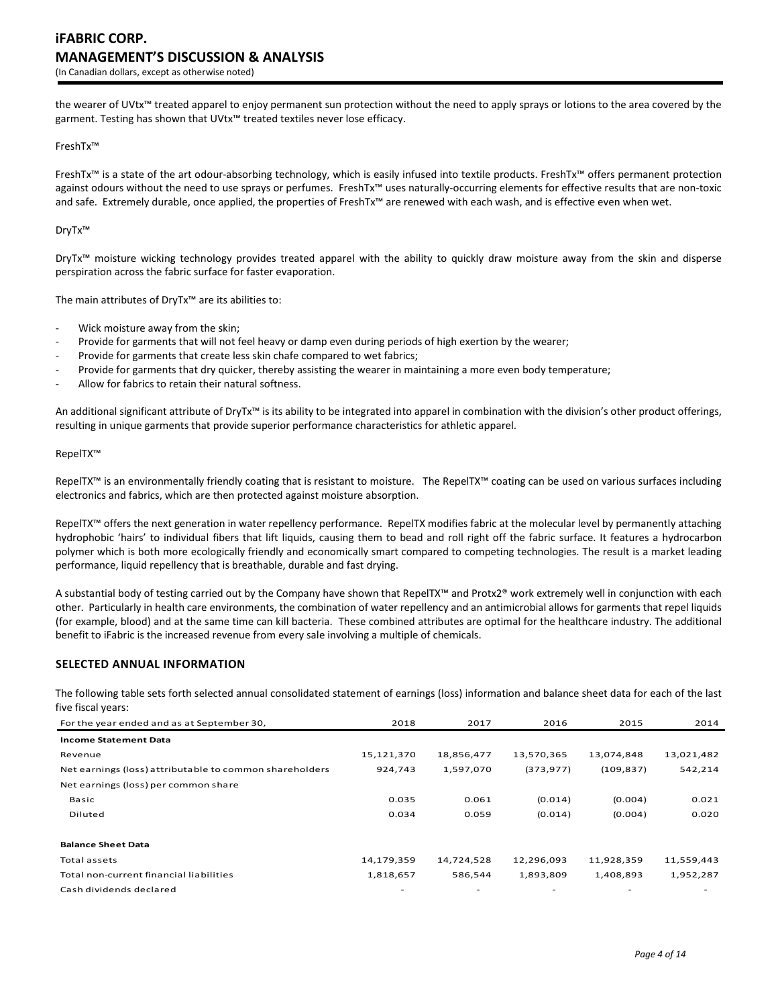the wearer of UVtx™ treated apparel to enjoy permanent sun protection without the need to apply sprays or lotions to the area covered by the garment. Testing has shown that UVtx<sup>™</sup> treated textiles never lose efficacy.

# FreshTx™

FreshTx™ is a state of the art odour-absorbing technology, which is easily infused into textile products. FreshTx™ offers permanent protection against odours without the need to use sprays or perfumes. FreshTx™ uses naturally-occurring elements for effective results that are non-toxic and safe. Extremely durable, once applied, the properties of FreshTx™ are renewed with each wash, and is effective even when wet.

# DryTx™

DryTx<sup>™</sup> moisture wicking technology provides treated apparel with the ability to quickly draw moisture away from the skin and disperse perspiration across the fabric surface for faster evaporation.

The main attributes of DryTx™ are its abilities to:

- Wick moisture away from the skin;
- Provide for garments that will not feel heavy or damp even during periods of high exertion by the wearer;
- Provide for garments that create less skin chafe compared to wet fabrics;
- Provide for garments that dry quicker, thereby assisting the wearer in maintaining a more even body temperature;
- Allow for fabrics to retain their natural softness.

An additional significant attribute of DryTx™ is its ability to be integrated into apparel in combination with the division's other product offerings, resulting in unique garments that provide superior performance characteristics for athletic apparel.

#### RepelTX™

RepelTX™ is an environmentally friendly coating that is resistant to moisture. The RepelTX™ coating can be used on various surfaces including electronics and fabrics, which are then protected against moisture absorption.

RepelTX™ offers the next generation in water repellency performance. RepelTX modifies fabric at the molecular level by permanently attaching hydrophobic 'hairs' to individual fibers that lift liquids, causing them to bead and roll right off the fabric surface. It features a hydrocarbon polymer which is both more ecologically friendly and economically smart compared to competing technologies. The result is a market leading performance, liquid repellency that is breathable, durable and fast drying.

A substantial body of testing carried out by the Company have shown that RepelTX™ and Protx2® work extremely well in conjunction with each other. Particularly in health care environments, the combination of water repellency and an antimicrobial allows for garments that repel liquids (for example, blood) and at the same time can kill bacteria. These combined attributes are optimal for the healthcare industry. The additional benefit to iFabric is the increased revenue from every sale involving a multiple of chemicals.

# **SELECTED ANNUAL INFORMATION**

The following table sets forth selected annual consolidated statement of earnings (loss) information and balance sheet data for each of the last five fiscal years:

| For the year ended and as at September 30,              | 2018                     | 2017       | 2016       | 2015                     | 2014       |
|---------------------------------------------------------|--------------------------|------------|------------|--------------------------|------------|
| <b>Income Statement Data</b>                            |                          |            |            |                          |            |
| Revenue                                                 | 15,121,370               | 18,856,477 | 13,570,365 | 13,074,848               | 13,021,482 |
| Net earnings (loss) attributable to common shareholders | 924.743                  | 1,597,070  | (373, 977) | (109, 837)               | 542,214    |
| Net earnings (loss) per common share                    |                          |            |            |                          |            |
| Basic                                                   | 0.035                    | 0.061      | (0.014)    | (0.004)                  | 0.021      |
| Diluted                                                 | 0.034                    | 0.059      | (0.014)    | (0.004)                  | 0.020      |
| <b>Balance Sheet Data</b>                               |                          |            |            |                          |            |
| Total assets                                            | 14,179,359               | 14,724,528 | 12,296,093 | 11,928,359               | 11,559,443 |
| Total non-current financial liabilities                 | 1,818,657                | 586,544    | 1,893,809  | 1,408,893                | 1,952,287  |
| Cash dividends declared                                 | $\overline{\phantom{a}}$ | -          |            | $\overline{\phantom{0}}$ |            |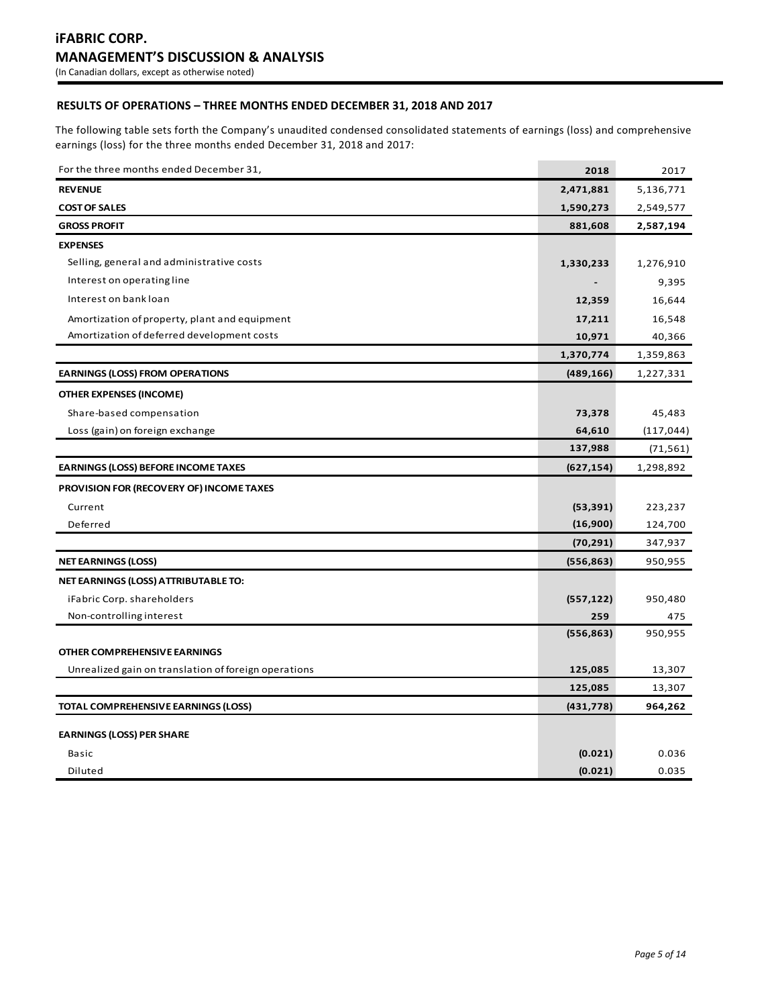# **RESULTS OF OPERATIONS – THREE MONTHS ENDED DECEMBER 31, 2018 AND 2017**

The following table sets forth the Company's unaudited condensed consolidated statements of earnings (loss) and comprehensive earnings (loss) for the three months ended December 31, 2018 and 2017:

| For the three months ended December 31,              | 2018       | 2017       |
|------------------------------------------------------|------------|------------|
| <b>REVENUE</b>                                       | 2,471,881  | 5,136,771  |
| <b>COST OF SALES</b>                                 | 1,590,273  | 2,549,577  |
| <b>GROSS PROFIT</b>                                  | 881,608    | 2,587,194  |
| <b>EXPENSES</b>                                      |            |            |
| Selling, general and administrative costs            | 1,330,233  | 1,276,910  |
| Interest on operating line                           |            | 9,395      |
| Interest on bank loan                                | 12,359     | 16,644     |
| Amortization of property, plant and equipment        | 17,211     | 16,548     |
| Amortization of deferred development costs           | 10,971     | 40,366     |
|                                                      | 1,370,774  | 1,359,863  |
| <b>EARNINGS (LOSS) FROM OPERATIONS</b>               | (489, 166) | 1,227,331  |
| OTHER EXPENSES (INCOME)                              |            |            |
| Share-based compensation                             | 73,378     | 45,483     |
| Loss (gain) on foreign exchange                      | 64,610     | (117, 044) |
|                                                      | 137,988    | (71, 561)  |
| <b>EARNINGS (LOSS) BEFORE INCOME TAXES</b>           | (627, 154) | 1,298,892  |
| PROVISION FOR (RECOVERY OF) INCOME TAXES             |            |            |
| Current                                              | (53, 391)  | 223,237    |
| Deferred                                             | (16,900)   | 124,700    |
|                                                      | (70, 291)  | 347,937    |
| <b>NET EARNINGS (LOSS)</b>                           | (556, 863) | 950,955    |
| NET EARNINGS (LOSS) ATTRIBUTABLE TO:                 |            |            |
| iFabric Corp. shareholders                           | (557, 122) | 950,480    |
| Non-controlling interest                             | 259        | 475        |
|                                                      | (556, 863) | 950,955    |
| OTHER COMPREHENSIVE EARNINGS                         |            |            |
| Unrealized gain on translation of foreign operations | 125,085    | 13,307     |
|                                                      | 125,085    | 13,307     |
| TOTAL COMPREHENSIVE EARNINGS (LOSS)                  | (431, 778) | 964,262    |
| <b>EARNINGS (LOSS) PER SHARE</b>                     |            |            |
| Basic                                                | (0.021)    | 0.036      |
| Diluted                                              | (0.021)    | 0.035      |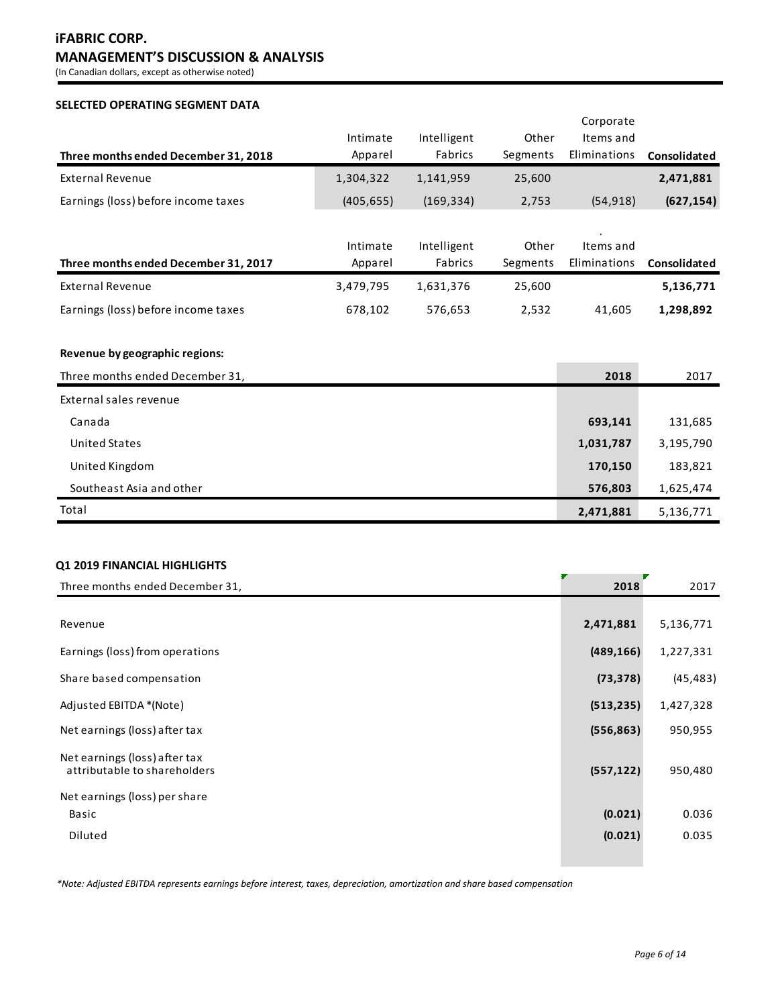# **iFABRIC CORP. MANAGEMENT'S DISCUSSION & ANALYSIS**

(In Canadian dollars, except as otherwise noted)

# **SELECTED OPERATING SEGMENT DATA**

|                                      |            |             |          | Corporate    |              |
|--------------------------------------|------------|-------------|----------|--------------|--------------|
|                                      | Intimate   | Intelligent | Other    | Items and    |              |
| Three months ended December 31, 2018 | Apparel    | Fabrics     | Segments | Eliminations | Consolidated |
| External Revenue                     | 1,304,322  | 1,141,959   | 25,600   |              | 2,471,881    |
| Earnings (loss) before income taxes  | (405, 655) | (169, 334)  | 2,753    | (54, 918)    | (627, 154)   |
|                                      |            |             |          |              |              |
|                                      | Intimate   | Intelligent | Other    | Items and    |              |
| Three months ended December 31, 2017 | Apparel    | Fabrics     | Segments | Eliminations | Consolidated |
| <b>External Revenue</b>              | 3,479,795  | 1,631,376   | 25,600   |              | 5,136,771    |
| Earnings (loss) before income taxes  | 678,102    | 576,653     | 2,532    | 41,605       | 1,298,892    |
|                                      |            |             |          |              |              |

# **Revenue by geographic regions:**

| Three months ended December 31, | 2018      | 2017      |
|---------------------------------|-----------|-----------|
| External sales revenue          |           |           |
| Canada                          | 693,141   | 131,685   |
| United States                   | 1,031,787 | 3,195,790 |
| United Kingdom                  | 170,150   | 183,821   |
| Southeast Asia and other        | 576,803   | 1,625,474 |
| Total                           | 2,471,881 | 5,136,771 |

# **Q1 2019 FINANCIAL HIGHLIGHTS**

| Three months ended December 31,                               | 2018       | 2017      |
|---------------------------------------------------------------|------------|-----------|
|                                                               |            |           |
| Revenue                                                       | 2,471,881  | 5,136,771 |
| Earnings (loss) from operations                               | (489, 166) | 1,227,331 |
| Share based compensation                                      | (73, 378)  | (45, 483) |
| Adjusted EBITDA *(Note)                                       | (513, 235) | 1,427,328 |
| Net earnings (loss) after tax                                 | (556, 863) | 950,955   |
| Net earnings (loss) after tax<br>attributable to shareholders | (557, 122) | 950,480   |
| Net earnings (loss) per share                                 |            |           |
| Basic                                                         | (0.021)    | 0.036     |
| Diluted                                                       | (0.021)    | 0.035     |
|                                                               |            |           |

*\*Note: Adjusted EBITDA represents earnings before interest, taxes, depreciation, amortization and share based compensation*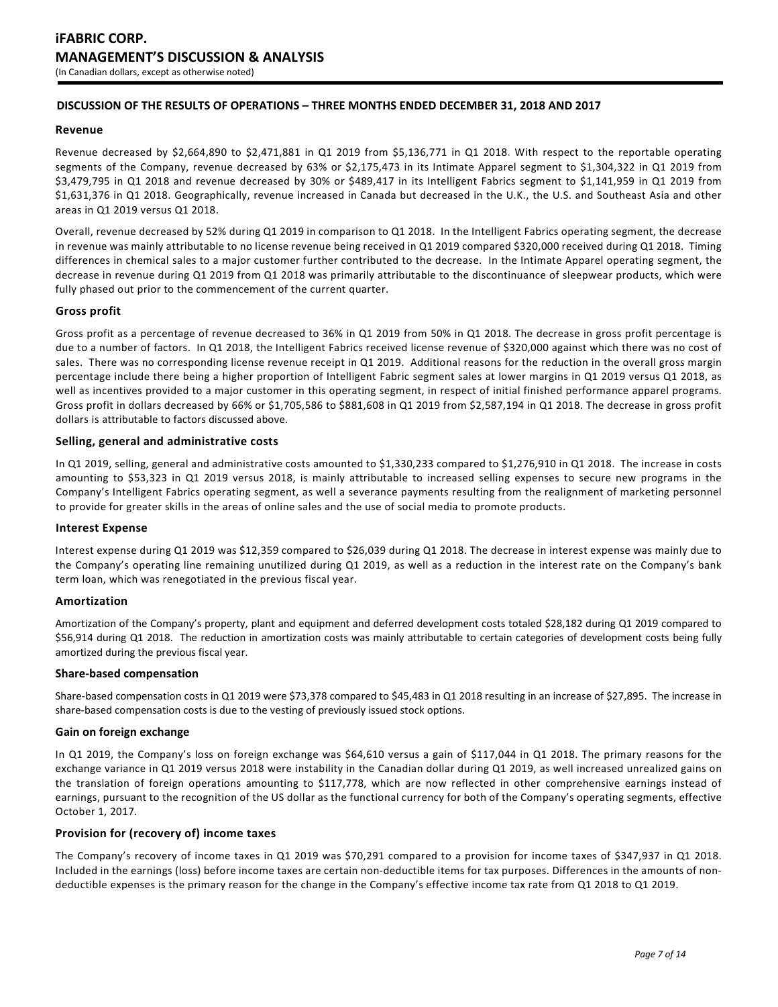# **DISCUSSION OF THE RESULTS OF OPERATIONS – THREE MONTHS ENDED DECEMBER 31, 2018 AND 2017**

# **Revenue**

Revenue decreased by \$2,664,890 to \$2,471,881 in Q1 2019 from \$5,136,771 in Q1 2018. With respect to the reportable operating segments of the Company, revenue decreased by 63% or \$2,175,473 in its Intimate Apparel segment to \$1,304,322 in Q1 2019 from \$3,479,795 in Q1 2018 and revenue decreased by 30% or \$489,417 in its Intelligent Fabrics segment to \$1,141,959 in Q1 2019 from \$1,631,376 in Q1 2018. Geographically, revenue increased in Canada but decreased in the U.K., the U.S. and Southeast Asia and other areas in Q1 2019 versus Q1 2018.

Overall, revenue decreased by 52% during Q1 2019 in comparison to Q1 2018. In the Intelligent Fabrics operating segment, the decrease in revenue was mainly attributable to no license revenue being received in Q1 2019 compared \$320,000 received during Q1 2018. Timing differences in chemical sales to a major customer further contributed to the decrease. In the Intimate Apparel operating segment, the decrease in revenue during Q1 2019 from Q1 2018 was primarily attributable to the discontinuance of sleepwear products, which were fully phased out prior to the commencement of the current quarter.

# **Gross profit**

Gross profit as a percentage of revenue decreased to 36% in Q1 2019 from 50% in Q1 2018. The decrease in gross profit percentage is due to a number of factors. In Q1 2018, the Intelligent Fabrics received license revenue of \$320,000 against which there was no cost of sales. There was no corresponding license revenue receipt in Q1 2019. Additional reasons for the reduction in the overall gross margin percentage include there being a higher proportion of Intelligent Fabric segment sales at lower margins in Q1 2019 versus Q1 2018, as well as incentives provided to a major customer in this operating segment, in respect of initial finished performance apparel programs. Gross profit in dollars decreased by 66% or \$1,705,586 to \$881,608 in Q1 2019 from \$2,587,194 in Q1 2018. The decrease in gross profit dollars is attributable to factors discussed above.

# **Selling, general and administrative costs**

In Q1 2019, selling, general and administrative costs amounted to \$1,330,233 compared to \$1,276,910 in Q1 2018. The increase in costs amounting to \$53,323 in Q1 2019 versus 2018, is mainly attributable to increased selling expenses to secure new programs in the Company's Intelligent Fabrics operating segment, as well a severance payments resulting from the realignment of marketing personnel to provide for greater skills in the areas of online sales and the use of social media to promote products.

### **Interest Expense**

Interest expense during Q1 2019 was \$12,359 compared to \$26,039 during Q1 2018. The decrease in interest expense was mainly due to the Company's operating line remaining unutilized during Q1 2019, as well as a reduction in the interest rate on the Company's bank term loan, which was renegotiated in the previous fiscal year.

### **Amortization**

Amortization of the Company's property, plant and equipment and deferred development costs totaled \$28,182 during Q1 2019 compared to \$56,914 during Q1 2018. The reduction in amortization costs was mainly attributable to certain categories of development costs being fully amortized during the previous fiscal year.

### **Share-based compensation**

Share-based compensation costs in Q1 2019 were \$73,378 compared to \$45,483 in Q1 2018 resulting in an increase of \$27,895. The increase in share-based compensation costs is due to the vesting of previously issued stock options.

# **Gain on foreign exchange**

In Q1 2019, the Company's loss on foreign exchange was \$64,610 versus a gain of \$117,044 in Q1 2018. The primary reasons for the exchange variance in Q1 2019 versus 2018 were instability in the Canadian dollar during Q1 2019, as well increased unrealized gains on the translation of foreign operations amounting to \$117,778, which are now reflected in other comprehensive earnings instead of earnings, pursuant to the recognition of the US dollar as the functional currency for both of the Company's operating segments, effective October 1, 2017.

# **Provision for (recovery of) income taxes**

The Company's recovery of income taxes in Q1 2019 was \$70,291 compared to a provision for income taxes of \$347,937 in Q1 2018. Included in the earnings (loss) before income taxes are certain non-deductible items for tax purposes. Differences in the amounts of nondeductible expenses is the primary reason for the change in the Company's effective income tax rate from Q1 2018 to Q1 2019.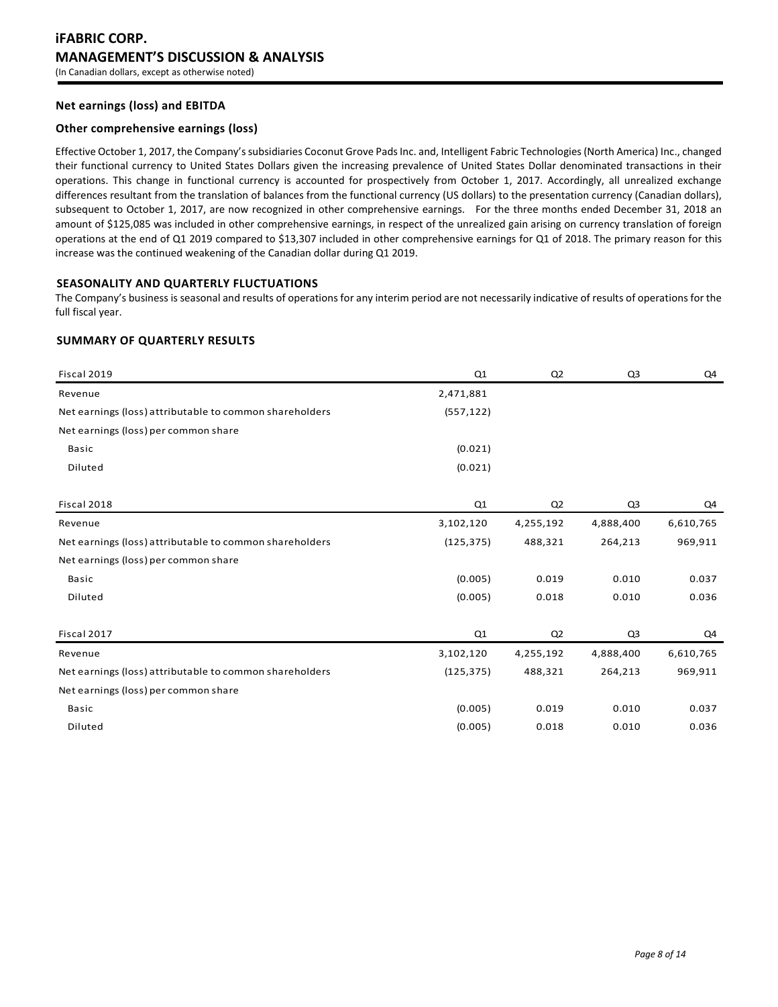# **Net earnings (loss) and EBITDA**

# **Other comprehensive earnings (loss)**

Effective October 1, 2017, the Company's subsidiaries Coconut Grove Pads Inc. and, Intelligent Fabric Technologies (North America) Inc., changed their functional currency to United States Dollars given the increasing prevalence of United States Dollar denominated transactions in their operations. This change in functional currency is accounted for prospectively from October 1, 2017. Accordingly, all unrealized exchange differences resultant from the translation of balances from the functional currency (US dollars) to the presentation currency (Canadian dollars), subsequent to October 1, 2017, are now recognized in other comprehensive earnings. For the three months ended December 31, 2018 an amount of \$125,085 was included in other comprehensive earnings, in respect of the unrealized gain arising on currency translation of foreign operations at the end of Q1 2019 compared to \$13,307 included in other comprehensive earnings for Q1 of 2018. The primary reason for this increase was the continued weakening of the Canadian dollar during Q1 2019.

# **SEASONALITY AND QUARTERLY FLUCTUATIONS**

The Company's business is seasonal and results of operations for any interim period are not necessarily indicative of results of operations for the full fiscal year.

# **SUMMARY OF QUARTERLY RESULTS**

| Fiscal 2019                                             | Q1         | Q <sub>2</sub> | Q <sub>3</sub> | Q4        |
|---------------------------------------------------------|------------|----------------|----------------|-----------|
| Revenue                                                 | 2,471,881  |                |                |           |
| Net earnings (loss) attributable to common shareholders | (557, 122) |                |                |           |
| Net earnings (loss) per common share                    |            |                |                |           |
| <b>Basic</b>                                            | (0.021)    |                |                |           |
| Diluted                                                 | (0.021)    |                |                |           |
|                                                         |            |                |                |           |
| Fiscal 2018                                             | Q1         | Q <sub>2</sub> | Q <sub>3</sub> | Q4        |
| Revenue                                                 | 3,102,120  | 4,255,192      | 4,888,400      | 6,610,765 |
| Net earnings (loss) attributable to common shareholders | (125, 375) | 488,321        | 264,213        | 969,911   |
| Net earnings (loss) per common share                    |            |                |                |           |
| <b>Basic</b>                                            | (0.005)    | 0.019          | 0.010          | 0.037     |
| Diluted                                                 | (0.005)    | 0.018          | 0.010          | 0.036     |
|                                                         |            |                |                |           |
| Fiscal 2017                                             | Q1         | Q <sub>2</sub> | Q <sub>3</sub> | Q4        |
| Revenue                                                 | 3,102,120  | 4,255,192      | 4,888,400      | 6,610,765 |
| Net earnings (loss) attributable to common shareholders | (125, 375) | 488,321        | 264,213        | 969,911   |
| Net earnings (loss) per common share                    |            |                |                |           |
| <b>Basic</b>                                            | (0.005)    | 0.019          | 0.010          | 0.037     |
| Diluted                                                 | (0.005)    | 0.018          | 0.010          | 0.036     |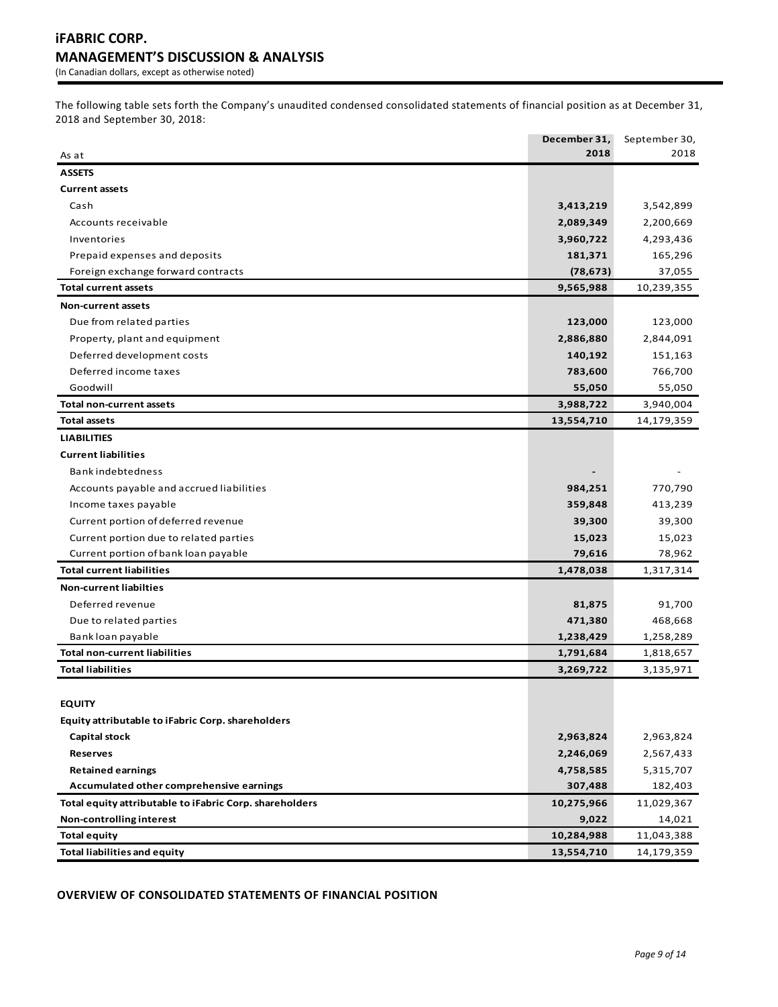The following table sets forth the Company's unaudited condensed consolidated statements of financial position as at December 31, 2018 and September 30, 2018:

|                                                                   | December 31,<br>2018 | September 30,<br>2018 |
|-------------------------------------------------------------------|----------------------|-----------------------|
| As at                                                             |                      |                       |
| <b>ASSETS</b>                                                     |                      |                       |
| <b>Current assets</b>                                             |                      |                       |
| Cash                                                              | 3,413,219            | 3,542,899             |
| Accounts receivable                                               | 2,089,349            | 2,200,669             |
| Inventories                                                       | 3,960,722            | 4,293,436             |
| Prepaid expenses and deposits                                     | 181,371<br>(78, 673) | 165,296               |
| Foreign exchange forward contracts<br><b>Total current assets</b> |                      | 37,055                |
|                                                                   | 9,565,988            | 10,239,355            |
| <b>Non-current assets</b>                                         |                      |                       |
| Due from related parties                                          | 123,000              | 123,000               |
| Property, plant and equipment                                     | 2,886,880            | 2,844,091             |
| Deferred development costs                                        | 140,192              | 151,163               |
| Deferred income taxes                                             | 783,600              | 766,700               |
| Goodwill                                                          | 55,050               | 55,050                |
| <b>Total non-current assets</b>                                   | 3,988,722            | 3,940,004             |
| <b>Total assets</b>                                               | 13,554,710           | 14,179,359            |
| <b>LIABILITIES</b>                                                |                      |                       |
| <b>Current liabilities</b>                                        |                      |                       |
| <b>Bankindebtedness</b>                                           |                      |                       |
| Accounts payable and accrued liabilities                          | 984,251              | 770,790               |
| Income taxes payable                                              | 359,848              | 413,239               |
| Current portion of deferred revenue                               | 39,300               | 39,300                |
| Current portion due to related parties                            | 15,023               | 15,023                |
| Current portion of bank loan payable                              | 79,616               | 78,962                |
| <b>Total current liabilities</b>                                  | 1,478,038            | 1,317,314             |
| <b>Non-current liabilties</b>                                     |                      |                       |
| Deferred revenue                                                  | 81,875               | 91,700                |
| Due to related parties                                            | 471,380              | 468,668               |
| Bank loan payable                                                 | 1,238,429            | 1,258,289             |
| <b>Total non-current liabilities</b>                              | 1,791,684            | 1,818,657             |
| <b>Total liabilities</b>                                          | 3,269,722            | 3,135,971             |
|                                                                   |                      |                       |
| <b>EQUITY</b>                                                     |                      |                       |
| Equity attributable to iFabric Corp. shareholders                 |                      |                       |
| Capital stock                                                     | 2,963,824            | 2,963,824             |
| <b>Reserves</b>                                                   | 2,246,069            | 2,567,433             |
| <b>Retained earnings</b>                                          | 4,758,585            | 5,315,707             |
| Accumulated other comprehensive earnings                          | 307,488              | 182,403               |
| Total equity attributable to iFabric Corp. shareholders           | 10,275,966           | 11,029,367            |
| Non-controlling interest                                          | 9,022                | 14,021                |
| <b>Total equity</b>                                               | 10,284,988           | 11,043,388            |
| <b>Total liabilities and equity</b>                               | 13,554,710           | 14,179,359            |

**OVERVIEW OF CONSOLIDATED STATEMENTS OF FINANCIAL POSITION**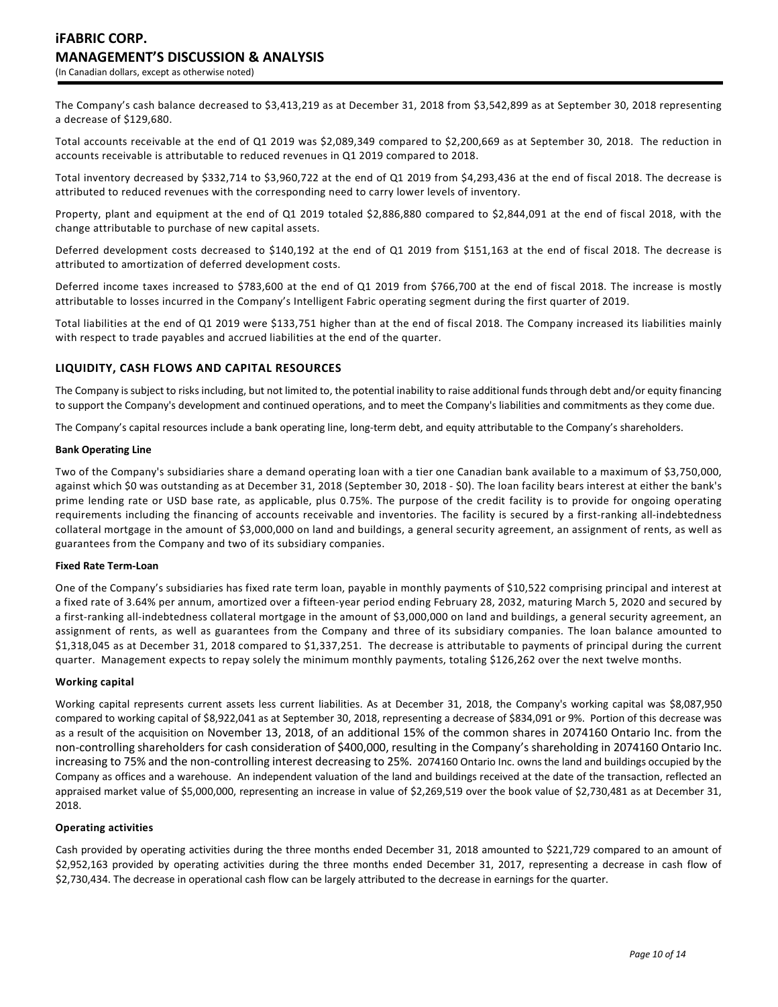The Company's cash balance decreased to \$3,413,219 as at December 31, 2018 from \$3,542,899 as at September 30, 2018 representing a decrease of \$129,680.

Total accounts receivable at the end of Q1 2019 was \$2,089,349 compared to \$2,200,669 as at September 30, 2018. The reduction in accounts receivable is attributable to reduced revenues in Q1 2019 compared to 2018.

Total inventory decreased by \$332,714 to \$3,960,722 at the end of Q1 2019 from \$4,293,436 at the end of fiscal 2018. The decrease is attributed to reduced revenues with the corresponding need to carry lower levels of inventory.

Property, plant and equipment at the end of Q1 2019 totaled \$2,886,880 compared to \$2,844,091 at the end of fiscal 2018, with the change attributable to purchase of new capital assets.

Deferred development costs decreased to \$140,192 at the end of Q1 2019 from \$151,163 at the end of fiscal 2018. The decrease is attributed to amortization of deferred development costs.

Deferred income taxes increased to \$783,600 at the end of Q1 2019 from \$766,700 at the end of fiscal 2018. The increase is mostly attributable to losses incurred in the Company's Intelligent Fabric operating segment during the first quarter of 2019.

Total liabilities at the end of Q1 2019 were \$133,751 higher than at the end of fiscal 2018. The Company increased its liabilities mainly with respect to trade payables and accrued liabilities at the end of the quarter.

# **LIQUIDITY, CASH FLOWS AND CAPITAL RESOURCES**

The Company is subject to risks including, but not limited to, the potential inability to raise additional funds through debt and/or equity financing to support the Company's development and continued operations, and to meet the Company's liabilities and commitments as they come due.

The Company's capital resources include a bank operating line, long-term debt, and equity attributable to the Company's shareholders.

#### **Bank Operating Line**

Two of the Company's subsidiaries share a demand operating loan with a tier one Canadian bank available to a maximum of \$3,750,000, against which \$0 was outstanding as at December 31, 2018 (September 30, 2018 - \$0). The loan facility bears interest at either the bank's prime lending rate or USD base rate, as applicable, plus 0.75%. The purpose of the credit facility is to provide for ongoing operating requirements including the financing of accounts receivable and inventories. The facility is secured by a first-ranking all-indebtedness collateral mortgage in the amount of \$3,000,000 on land and buildings, a general security agreement, an assignment of rents, as well as guarantees from the Company and two of its subsidiary companies.

### **Fixed Rate Term-Loan**

One of the Company's subsidiaries has fixed rate term loan, payable in monthly payments of \$10,522 comprising principal and interest at a fixed rate of 3.64% per annum, amortized over a fifteen-year period ending February 28, 2032, maturing March 5, 2020 and secured by a first-ranking all-indebtedness collateral mortgage in the amount of \$3,000,000 on land and buildings, a general security agreement, an assignment of rents, as well as guarantees from the Company and three of its subsidiary companies. The loan balance amounted to \$1,318,045 as at December 31, 2018 compared to \$1,337,251. The decrease is attributable to payments of principal during the current quarter. Management expects to repay solely the minimum monthly payments, totaling \$126,262 over the next twelve months.

#### **Working capital**

Working capital represents current assets less current liabilities. As at December 31, 2018, the Company's working capital was \$8,087,950 compared to working capital of \$8,922,041 as at September 30, 2018, representing a decrease of \$834,091 or 9%. Portion of this decrease was as a result of the acquisition on November 13, 2018, of an additional 15% of the common shares in 2074160 Ontario Inc. from the non-controlling shareholders for cash consideration of \$400,000, resulting in the Company's shareholding in 2074160 Ontario Inc. increasing to 75% and the non-controlling interest decreasing to 25%. 2074160 Ontario Inc. owns the land and buildings occupied by the Company as offices and a warehouse. An independent valuation of the land and buildings received at the date of the transaction, reflected an appraised market value of \$5,000,000, representing an increase in value of \$2,269,519 over the book value of \$2,730,481 as at December 31, 2018.

# **Operating activities**

Cash provided by operating activities during the three months ended December 31, 2018 amounted to \$221,729 compared to an amount of \$2,952,163 provided by operating activities during the three months ended December 31, 2017, representing a decrease in cash flow of \$2,730,434. The decrease in operational cash flow can be largely attributed to the decrease in earnings for the quarter.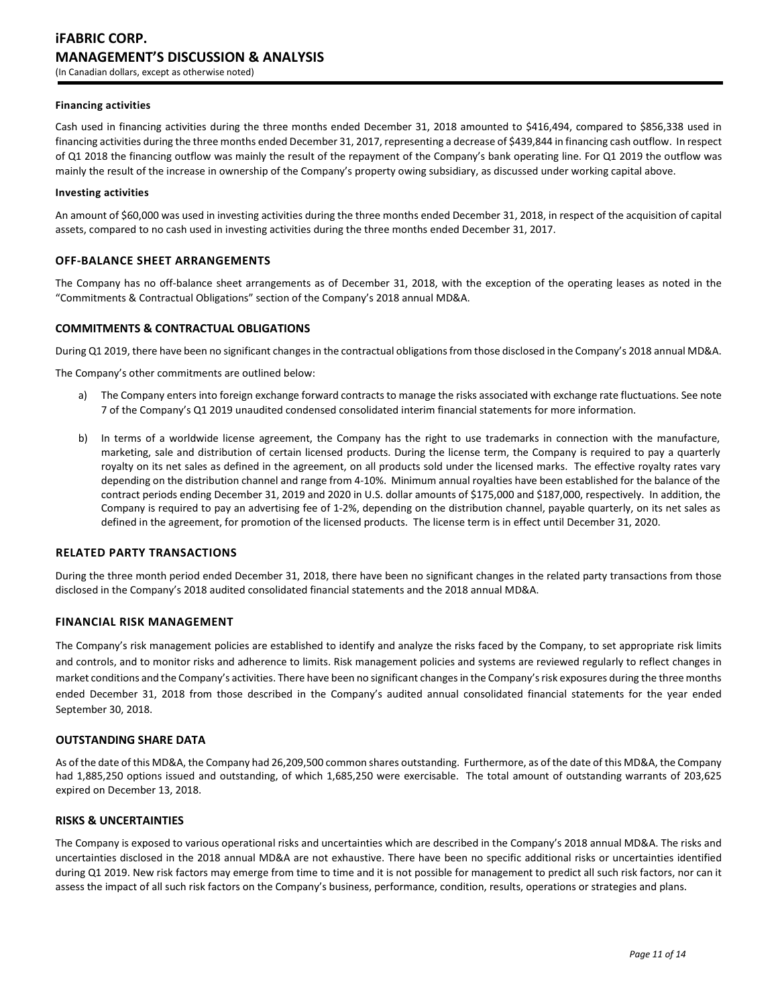#### **Financing activities**

Cash used in financing activities during the three months ended December 31, 2018 amounted to \$416,494, compared to \$856,338 used in financing activities during the three months ended December 31, 2017, representing a decrease of \$439,844 in financing cash outflow. In respect of Q1 2018 the financing outflow was mainly the result of the repayment of the Company's bank operating line. For Q1 2019 the outflow was mainly the result of the increase in ownership of the Company's property owing subsidiary, as discussed under working capital above.

#### **Investing activities**

An amount of \$60,000 was used in investing activities during the three months ended December 31, 2018, in respect of the acquisition of capital assets, compared to no cash used in investing activities during the three months ended December 31, 2017.

# **OFF-BALANCE SHEET ARRANGEMENTS**

The Company has no off-balance sheet arrangements as of December 31, 2018, with the exception of the operating leases as noted in the "Commitments & Contractual Obligations" section of the Company's 2018 annual MD&A.

# **COMMITMENTS & CONTRACTUAL OBLIGATIONS**

During Q1 2019, there have been no significant changes in the contractual obligations from those disclosed in the Company's 2018 annual MD&A.

The Company's other commitments are outlined below:

- a) The Company enters into foreign exchange forward contracts to manage the risks associated with exchange rate fluctuations. See note 7 of the Company's Q1 2019 unaudited condensed consolidated interim financial statements for more information.
- b) In terms of a worldwide license agreement, the Company has the right to use trademarks in connection with the manufacture, marketing, sale and distribution of certain licensed products. During the license term, the Company is required to pay a quarterly royalty on its net sales as defined in the agreement, on all products sold under the licensed marks. The effective royalty rates vary depending on the distribution channel and range from 4-10%. Minimum annual royalties have been established for the balance of the contract periods ending December 31, 2019 and 2020 in U.S. dollar amounts of \$175,000 and \$187,000, respectively. In addition, the Company is required to pay an advertising fee of 1-2%, depending on the distribution channel, payable quarterly, on its net sales as defined in the agreement, for promotion of the licensed products. The license term is in effect until December 31, 2020.

# **RELATED PARTY TRANSACTIONS**

During the three month period ended December 31, 2018, there have been no significant changes in the related party transactions from those disclosed in the Company's 2018 audited consolidated financial statements and the 2018 annual MD&A.

### **FINANCIAL RISK MANAGEMENT**

The Company's risk management policies are established to identify and analyze the risks faced by the Company, to set appropriate risk limits and controls, and to monitor risks and adherence to limits. Risk management policies and systems are reviewed regularly to reflect changes in market conditions and the Company's activities. There have been no significant changes in the Company's risk exposures during the three months ended December 31, 2018 from those described in the Company's audited annual consolidated financial statements for the year ended September 30, 2018.

### **OUTSTANDING SHARE DATA**

As of the date of this MD&A, the Company had 26,209,500 common shares outstanding. Furthermore, as of the date of this MD&A, the Company had 1,885,250 options issued and outstanding, of which 1,685,250 were exercisable. The total amount of outstanding warrants of 203,625 expired on December 13, 2018.

# **RISKS & UNCERTAINTIES**

The Company is exposed to various operational risks and uncertainties which are described in the Company's 2018 annual MD&A. The risks and uncertainties disclosed in the 2018 annual MD&A are not exhaustive. There have been no specific additional risks or uncertainties identified during Q1 2019. New risk factors may emerge from time to time and it is not possible for management to predict all such risk factors, nor can it assess the impact of all such risk factors on the Company's business, performance, condition, results, operations or strategies and plans.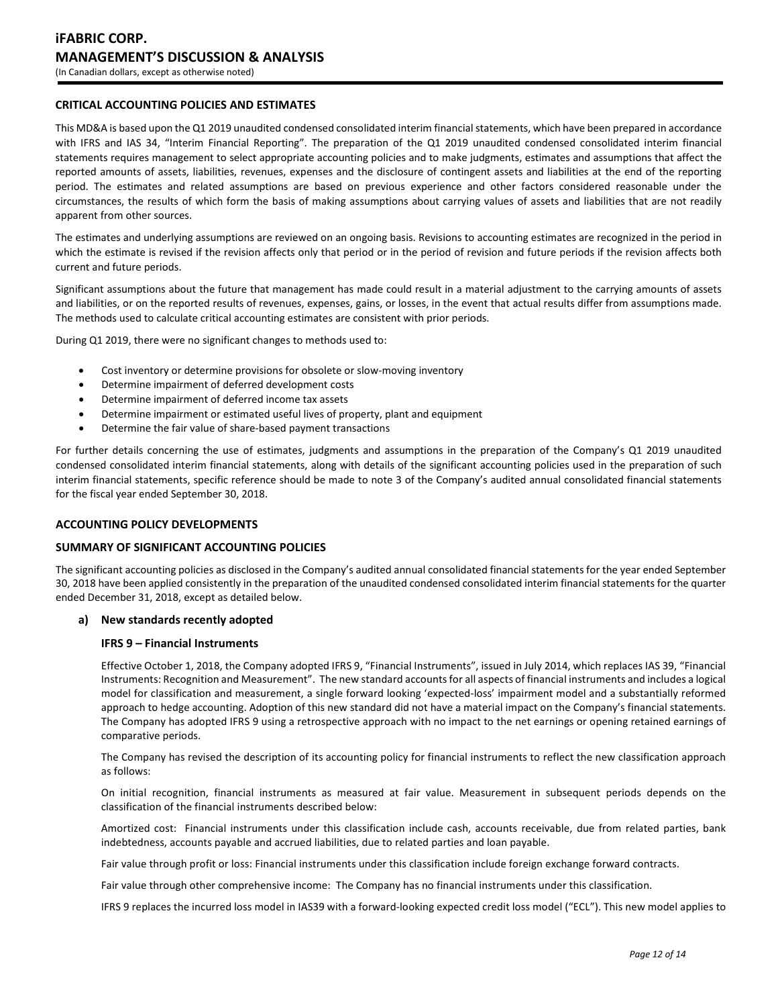# **CRITICAL ACCOUNTING POLICIES AND ESTIMATES**

This MD&A is based upon the Q1 2019 unaudited condensed consolidated interim financial statements, which have been prepared in accordance with IFRS and IAS 34, "Interim Financial Reporting". The preparation of the Q1 2019 unaudited condensed consolidated interim financial statements requires management to select appropriate accounting policies and to make judgments, estimates and assumptions that affect the reported amounts of assets, liabilities, revenues, expenses and the disclosure of contingent assets and liabilities at the end of the reporting period. The estimates and related assumptions are based on previous experience and other factors considered reasonable under the circumstances, the results of which form the basis of making assumptions about carrying values of assets and liabilities that are not readily apparent from other sources.

The estimates and underlying assumptions are reviewed on an ongoing basis. Revisions to accounting estimates are recognized in the period in which the estimate is revised if the revision affects only that period or in the period of revision and future periods if the revision affects both current and future periods.

Significant assumptions about the future that management has made could result in a material adjustment to the carrying amounts of assets and liabilities, or on the reported results of revenues, expenses, gains, or losses, in the event that actual results differ from assumptions made. The methods used to calculate critical accounting estimates are consistent with prior periods.

During Q1 2019, there were no significant changes to methods used to:

- Cost inventory or determine provisions for obsolete or slow-moving inventory
- Determine impairment of deferred development costs
- Determine impairment of deferred income tax assets
- Determine impairment or estimated useful lives of property, plant and equipment
- Determine the fair value of share-based payment transactions

For further details concerning the use of estimates, judgments and assumptions in the preparation of the Company's Q1 2019 unaudited condensed consolidated interim financial statements, along with details of the significant accounting policies used in the preparation of such interim financial statements, specific reference should be made to note 3 of the Company's audited annual consolidated financial statements for the fiscal year ended September 30, 2018.

# **ACCOUNTING POLICY DEVELOPMENTS**

### **SUMMARY OF SIGNIFICANT ACCOUNTING POLICIES**

The significant accounting policies as disclosed in the Company's audited annual consolidated financial statements for the year ended September 30, 2018 have been applied consistently in the preparation of the unaudited condensed consolidated interim financial statements for the quarter ended December 31, 2018, except as detailed below.

### **a) New standards recently adopted**

# **IFRS 9 – Financial Instruments**

Effective October 1, 2018, the Company adopted IFRS 9, "Financial Instruments", issued in July 2014, which replaces IAS 39, "Financial Instruments: Recognition and Measurement". The new standard accounts for all aspects of financial instruments and includes a logical model for classification and measurement, a single forward looking 'expected-loss' impairment model and a substantially reformed approach to hedge accounting. Adoption of this new standard did not have a material impact on the Company's financial statements. The Company has adopted IFRS 9 using a retrospective approach with no impact to the net earnings or opening retained earnings of comparative periods.

The Company has revised the description of its accounting policy for financial instruments to reflect the new classification approach as follows:

On initial recognition, financial instruments as measured at fair value. Measurement in subsequent periods depends on the classification of the financial instruments described below:

Amortized cost: Financial instruments under this classification include cash, accounts receivable, due from related parties, bank indebtedness, accounts payable and accrued liabilities, due to related parties and loan payable.

Fair value through profit or loss: Financial instruments under this classification include foreign exchange forward contracts.

Fair value through other comprehensive income: The Company has no financial instruments under this classification.

IFRS 9 replaces the incurred loss model in IAS39 with a forward-looking expected credit loss model ("ECL"). This new model applies to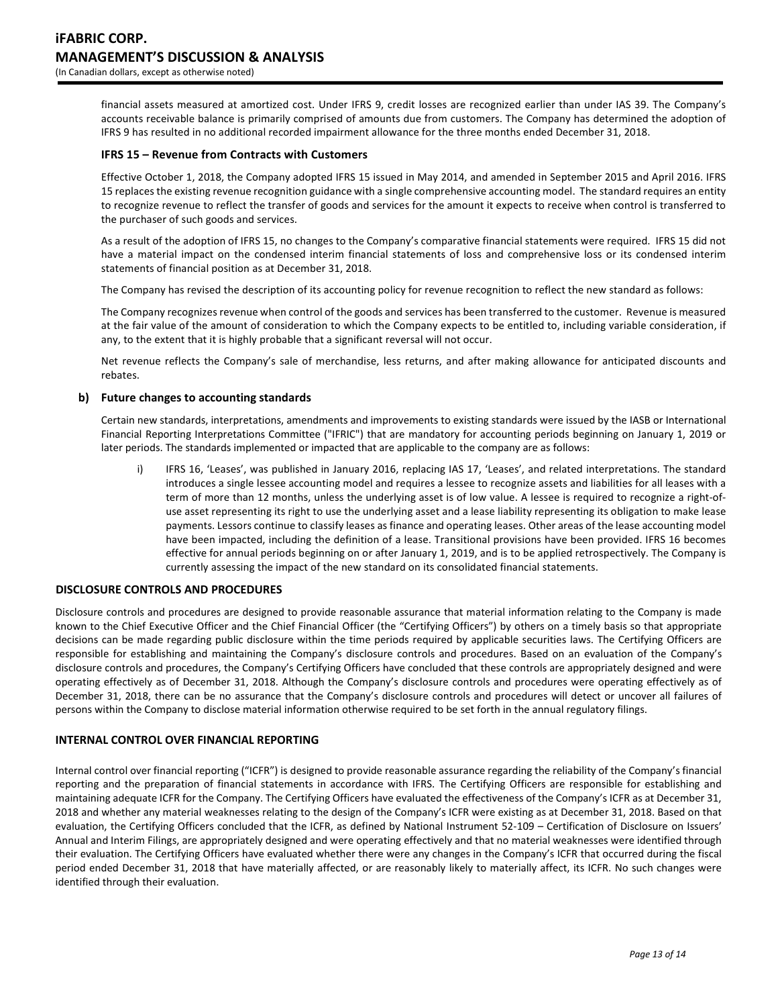financial assets measured at amortized cost. Under IFRS 9, credit losses are recognized earlier than under IAS 39. The Company's accounts receivable balance is primarily comprised of amounts due from customers. The Company has determined the adoption of IFRS 9 has resulted in no additional recorded impairment allowance for the three months ended December 31, 2018.

# **IFRS 15 – Revenue from Contracts with Customers**

Effective October 1, 2018, the Company adopted IFRS 15 issued in May 2014, and amended in September 2015 and April 2016. IFRS 15 replaces the existing revenue recognition guidance with a single comprehensive accounting model. The standard requires an entity to recognize revenue to reflect the transfer of goods and services for the amount it expects to receive when control is transferred to the purchaser of such goods and services.

As a result of the adoption of IFRS 15, no changes to the Company's comparative financial statements were required. IFRS 15 did not have a material impact on the condensed interim financial statements of loss and comprehensive loss or its condensed interim statements of financial position as at December 31, 2018.

The Company has revised the description of its accounting policy for revenue recognition to reflect the new standard as follows:

The Company recognizes revenue when control of the goods and services has been transferred to the customer. Revenue is measured at the fair value of the amount of consideration to which the Company expects to be entitled to, including variable consideration, if any, to the extent that it is highly probable that a significant reversal will not occur.

Net revenue reflects the Company's sale of merchandise, less returns, and after making allowance for anticipated discounts and rebates.

# **b) Future changes to accounting standards**

Certain new standards, interpretations, amendments and improvements to existing standards were issued by the IASB or International Financial Reporting Interpretations Committee ("IFRIC") that are mandatory for accounting periods beginning on January 1, 2019 or later periods. The standards implemented or impacted that are applicable to the company are as follows:

i) IFRS 16, 'Leases', was published in January 2016, replacing IAS 17, 'Leases', and related interpretations. The standard introduces a single lessee accounting model and requires a lessee to recognize assets and liabilities for all leases with a term of more than 12 months, unless the underlying asset is of low value. A lessee is required to recognize a right-ofuse asset representing its right to use the underlying asset and a lease liability representing its obligation to make lease payments. Lessors continue to classify leases as finance and operating leases. Other areas of the lease accounting model have been impacted, including the definition of a lease. Transitional provisions have been provided. IFRS 16 becomes effective for annual periods beginning on or after January 1, 2019, and is to be applied retrospectively. The Company is currently assessing the impact of the new standard on its consolidated financial statements.

### **DISCLOSURE CONTROLS AND PROCEDURES**

Disclosure controls and procedures are designed to provide reasonable assurance that material information relating to the Company is made known to the Chief Executive Officer and the Chief Financial Officer (the "Certifying Officers") by others on a timely basis so that appropriate decisions can be made regarding public disclosure within the time periods required by applicable securities laws. The Certifying Officers are responsible for establishing and maintaining the Company's disclosure controls and procedures. Based on an evaluation of the Company's disclosure controls and procedures, the Company's Certifying Officers have concluded that these controls are appropriately designed and were operating effectively as of December 31, 2018. Although the Company's disclosure controls and procedures were operating effectively as of December 31, 2018, there can be no assurance that the Company's disclosure controls and procedures will detect or uncover all failures of persons within the Company to disclose material information otherwise required to be set forth in the annual regulatory filings.

### **INTERNAL CONTROL OVER FINANCIAL REPORTING**

Internal control over financial reporting ("ICFR") is designed to provide reasonable assurance regarding the reliability of the Company's financial reporting and the preparation of financial statements in accordance with IFRS. The Certifying Officers are responsible for establishing and maintaining adequate ICFR for the Company. The Certifying Officers have evaluated the effectiveness of the Company's ICFR as at December 31, 2018 and whether any material weaknesses relating to the design of the Company's ICFR were existing as at December 31, 2018. Based on that evaluation, the Certifying Officers concluded that the ICFR, as defined by National Instrument 52-109 – Certification of Disclosure on Issuers' Annual and Interim Filings, are appropriately designed and were operating effectively and that no material weaknesses were identified through their evaluation. The Certifying Officers have evaluated whether there were any changes in the Company's ICFR that occurred during the fiscal period ended December 31, 2018 that have materially affected, or are reasonably likely to materially affect, its ICFR. No such changes were identified through their evaluation.